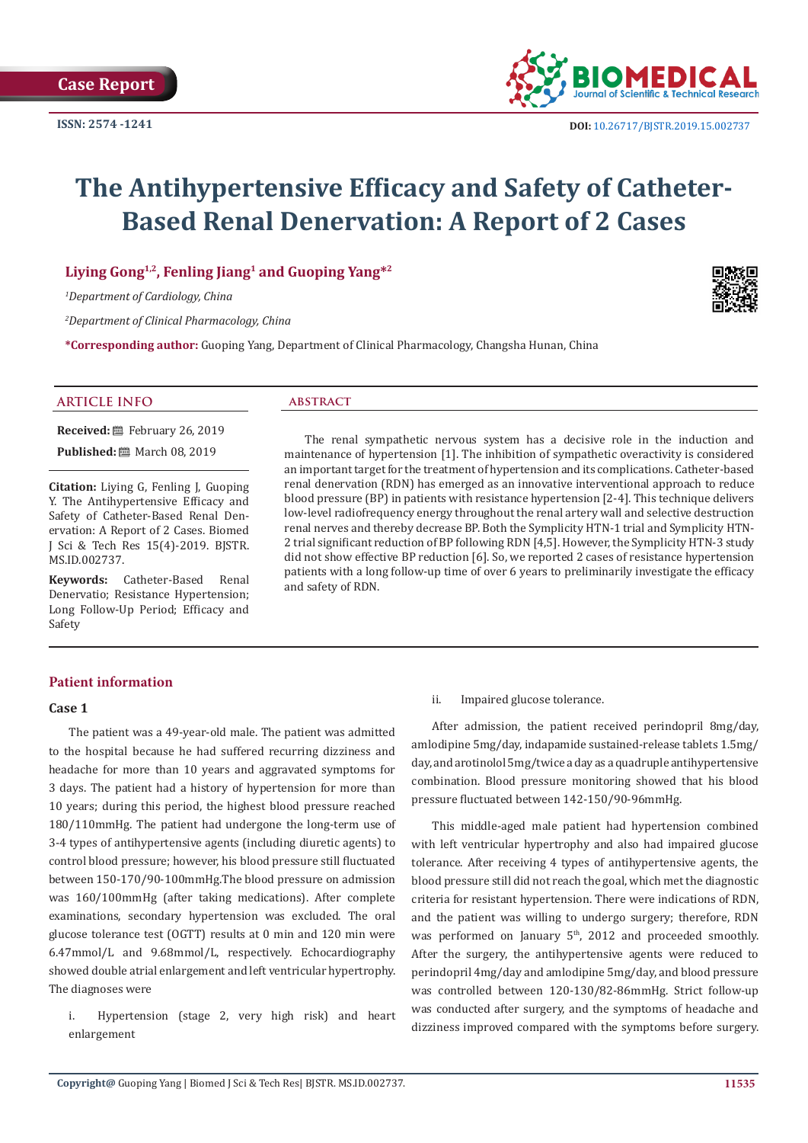

# **The Antihypertensive Efficacy and Safety of Catheter-Based Renal Denervation: A Report of 2 Cases**

# **Liying Gong1,2, Fenling Jiang<sup>1</sup> and Guoping Yang\*<sup>2</sup>**

*1 Department of Cardiology, China*

*2 Department of Clinical Pharmacology, China*

**\*Corresponding author:** Guoping Yang, Department of Clinical Pharmacology, Changsha Hunan, China

# **ARTICLE INFO abstract**

**Received:** February 26, 2019 **Published:** ■ March 08, 2019

**Citation:** Liying G, Fenling J, Guoping Y. The Antihypertensive Efficacy and Safety of Catheter-Based Renal Denervation: A Report of 2 Cases. Biomed J Sci & Tech Res 15(4)-2019. BJSTR. MS.ID.002737.

**Keywords:** Catheter-Based Renal Denervatio; Resistance Hypertension; Long Follow-Up Period; Efficacy and Safety

The renal sympathetic nervous system has a decisive role in the induction and maintenance of hypertension [1]. The inhibition of sympathetic overactivity is considered an important target for the treatment of hypertension and its complications. Catheter-based renal denervation (RDN) has emerged as an innovative interventional approach to reduce blood pressure (BP) in patients with resistance hypertension [2-4]. This technique delivers low-level radiofrequency energy throughout the renal artery wall and selective destruction renal nerves and thereby decrease BP. Both the Symplicity HTN-1 trial and Symplicity HTN-2 trial significant reduction of BP following RDN [4,5]. However, the Symplicity HTN-3 study did not show effective BP reduction [6]. So, we reported 2 cases of resistance hypertension patients with a long follow-up time of over 6 years to preliminarily investigate the efficacy and safety of RDN.

# **Patient information**

### **Case 1**

The patient was a 49-year-old male. The patient was admitted to the hospital because he had suffered recurring dizziness and headache for more than 10 years and aggravated symptoms for 3 days. The patient had a history of hypertension for more than 10 years; during this period, the highest blood pressure reached 180/110mmHg. The patient had undergone the long-term use of 3-4 types of antihypertensive agents (including diuretic agents) to control blood pressure; however, his blood pressure still fluctuated between 150-170/90-100mmHg.The blood pressure on admission was 160/100mmHg (after taking medications). After complete examinations, secondary hypertension was excluded. The oral glucose tolerance test (OGTT) results at 0 min and 120 min were 6.47mmol/L and 9.68mmol/L, respectively. Echocardiography showed double atrial enlargement and left ventricular hypertrophy. The diagnoses were

i. Hypertension (stage 2, very high risk) and heart enlargement

ii. Impaired glucose tolerance.

After admission, the patient received perindopril 8mg/day, amlodipine 5mg/day, indapamide sustained-release tablets 1.5mg/ day, and arotinolol 5mg/twice a day as a quadruple antihypertensive combination. Blood pressure monitoring showed that his blood pressure fluctuated between 142-150/90-96mmHg.

This middle-aged male patient had hypertension combined with left ventricular hypertrophy and also had impaired glucose tolerance. After receiving 4 types of antihypertensive agents, the blood pressure still did not reach the goal, which met the diagnostic criteria for resistant hypertension. There were indications of RDN, and the patient was willing to undergo surgery; therefore, RDN was performed on January 5<sup>th</sup>, 2012 and proceeded smoothly. After the surgery, the antihypertensive agents were reduced to perindopril 4mg/day and amlodipine 5mg/day, and blood pressure was controlled between 120-130/82-86mmHg. Strict follow-up was conducted after surgery, and the symptoms of headache and dizziness improved compared with the symptoms before surgery.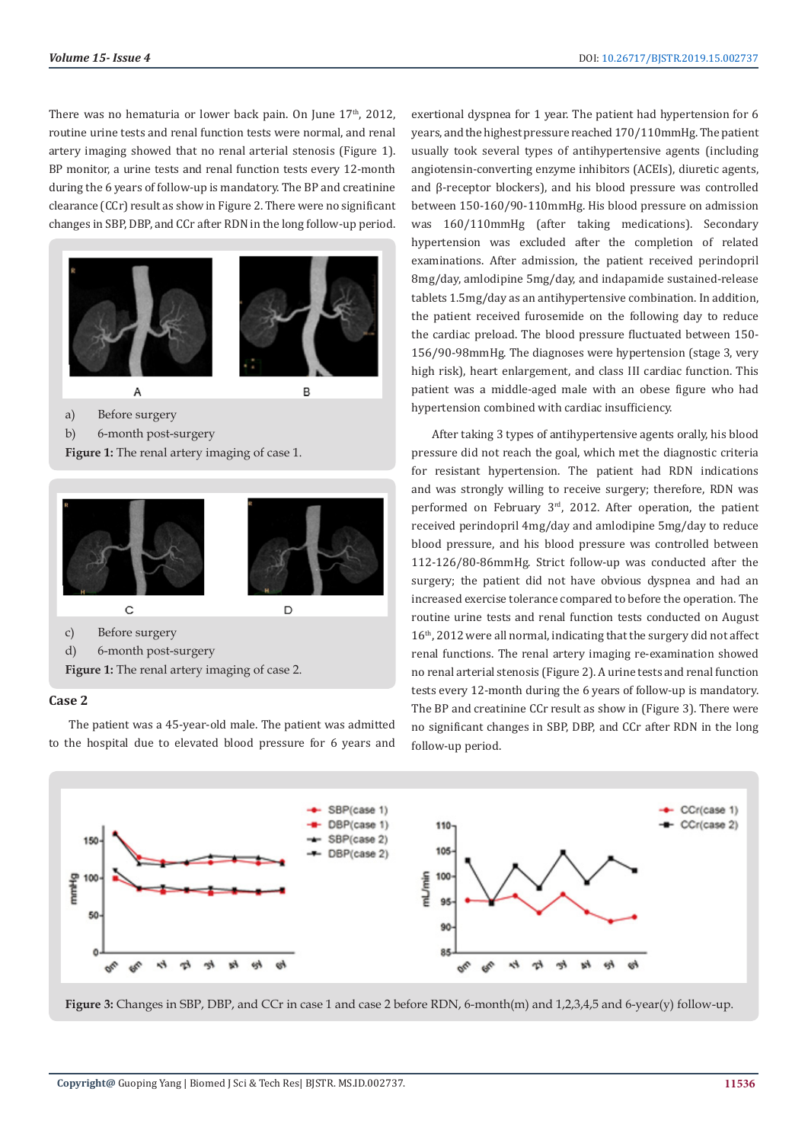There was no hematuria or lower back pain. On June  $17<sup>th</sup>$ , 2012, routine urine tests and renal function tests were normal, and renal artery imaging showed that no renal arterial stenosis (Figure 1). BP monitor, a urine tests and renal function tests every 12-month during the 6 years of follow-up is mandatory. The BP and creatinine clearance (CCr) result as show in Figure 2. There were no significant changes in SBP, DBP, and CCr after RDN in the long follow-up period.



**Figure 1:** The renal artery imaging of case 1.



c) Before surgery

d) 6-month post-surgery

**Figure 1:** The renal artery imaging of case 2.

# **Case 2**

The patient was a 45-year-old male. The patient was admitted to the hospital due to elevated blood pressure for 6 years and

exertional dyspnea for 1 year. The patient had hypertension for 6 years, and the highest pressure reached 170/110mmHg. The patient usually took several types of antihypertensive agents (including angiotensin-converting enzyme inhibitors (ACEIs), diuretic agents, and β-receptor blockers), and his blood pressure was controlled between 150-160/90-110mmHg. His blood pressure on admission was 160/110mmHg (after taking medications). Secondary hypertension was excluded after the completion of related examinations. After admission, the patient received perindopril 8mg/day, amlodipine 5mg/day, and indapamide sustained-release tablets 1.5mg/day as an antihypertensive combination. In addition, the patient received furosemide on the following day to reduce the cardiac preload. The blood pressure fluctuated between 150- 156/90-98mmHg. The diagnoses were hypertension (stage 3, very high risk), heart enlargement, and class III cardiac function. This patient was a middle-aged male with an obese figure who had hypertension combined with cardiac insufficiency.

After taking 3 types of antihypertensive agents orally, his blood pressure did not reach the goal, which met the diagnostic criteria for resistant hypertension. The patient had RDN indications and was strongly willing to receive surgery; therefore, RDN was performed on February 3<sup>rd</sup>, 2012. After operation, the patient received perindopril 4mg/day and amlodipine 5mg/day to reduce blood pressure, and his blood pressure was controlled between 112-126/80-86mmHg. Strict follow-up was conducted after the surgery; the patient did not have obvious dyspnea and had an increased exercise tolerance compared to before the operation. The routine urine tests and renal function tests conducted on August 16<sup>th</sup>, 2012 were all normal, indicating that the surgery did not affect renal functions. The renal artery imaging re-examination showed no renal arterial stenosis (Figure 2). A urine tests and renal function tests every 12-month during the 6 years of follow-up is mandatory. The BP and creatinine CCr result as show in (Figure 3). There were no significant changes in SBP, DBP, and CCr after RDN in the long follow-up period.



**Figure 3:** Changes in SBP, DBP, and CCr in case 1 and case 2 before RDN, 6-month(m) and 1,2,3,4,5 and 6-year(y) follow-up.